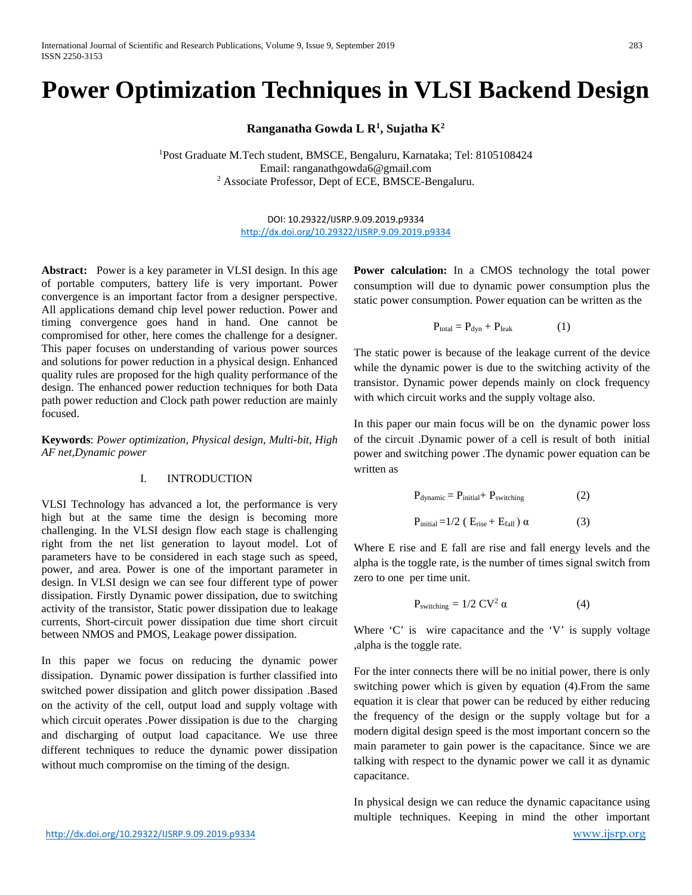# **Power Optimization Techniques in VLSI Backend Design**

**Ranganatha Gowda L R1 , Sujatha K2** 

1 Post Graduate M.Tech student, BMSCE, Bengaluru, Karnataka; Tel: 8105108424 Email: [ranganathgowda6@gmail.com](mailto:ranganathgowda6@gmail.com) <sup>2</sup> Associate Professor, Dept of ECE, BMSCE-Bengaluru.

> DOI: 10.29322/IJSRP.9.09.2019.p9334 <http://dx.doi.org/10.29322/IJSRP.9.09.2019.p9334>

**Abstract:** Power is a key parameter in VLSI design. In this age of portable computers, battery life is very important. Power convergence is an important factor from a designer perspective. All applications demand chip level power reduction. Power and timing convergence goes hand in hand. One cannot be compromised for other, here comes the challenge for a designer. This paper focuses on understanding of various power sources and solutions for power reduction in a physical design. Enhanced quality rules are proposed for the high quality performance of the design. The enhanced power reduction techniques for both Data path power reduction and Clock path power reduction are mainly focused.

**Keywords**: *Power optimization, Physical design, Multi-bit, High AF net,Dynamic power*

## I. INTRODUCTION

VLSI Technology has advanced a lot, the performance is very high but at the same time the design is becoming more challenging. In the VLSI design flow each stage is challenging right from the net list generation to layout model. Lot of parameters have to be considered in each stage such as speed, power, and area. Power is one of the important parameter in design. In VLSI design we can see four different type of power dissipation. Firstly Dynamic power dissipation, due to switching activity of the transistor, Static power dissipation due to leakage currents, Short-circuit power dissipation due time short circuit between NMOS and PMOS, Leakage power dissipation.

In this paper we focus on reducing the dynamic power dissipation. Dynamic power dissipation is further classified into switched power dissipation and glitch power dissipation .Based on the activity of the cell, output load and supply voltage with which circuit operates .Power dissipation is due to the charging and discharging of output load capacitance. We use three different techniques to reduce the dynamic power dissipation without much compromise on the timing of the design.

**Power calculation:** In a CMOS technology the total power consumption will due to dynamic power consumption plus the static power consumption. Power equation can be written as the

$$
P_{total} = P_{dyn} + P_{leak} \tag{1}
$$

The static power is because of the leakage current of the device while the dynamic power is due to the switching activity of the transistor. Dynamic power depends mainly on clock frequency with which circuit works and the supply voltage also.

In this paper our main focus will be on the dynamic power loss of the circuit .Dynamic power of a cell is result of both initial power and switching power .The dynamic power equation can be written as

$$
P_{dynamic} = P_{initial} + P_{switching}
$$
\n
$$
P_{initial} = 1/2 \left( E_{rise} + E_{fall} \right) \alpha
$$
\n(3)

Where E rise and E fall are rise and fall energy levels and the alpha is the toggle rate, is the number of times signal switch from zero to one per time unit.

$$
P_{\text{switching}} = 1/2 \text{ CV}^2 \alpha \tag{4}
$$

Where 'C' is wire capacitance and the 'V' is supply voltage ,alpha is the toggle rate.

For the inter connects there will be no initial power, there is only switching power which is given by equation (4).From the same equation it is clear that power can be reduced by either reducing the frequency of the design or the supply voltage but for a modern digital design speed is the most important concern so the main parameter to gain power is the capacitance. Since we are talking with respect to the dynamic power we call it as dynamic capacitance.

In physical design we can reduce the dynamic capacitance using multiple techniques. Keeping in mind the other important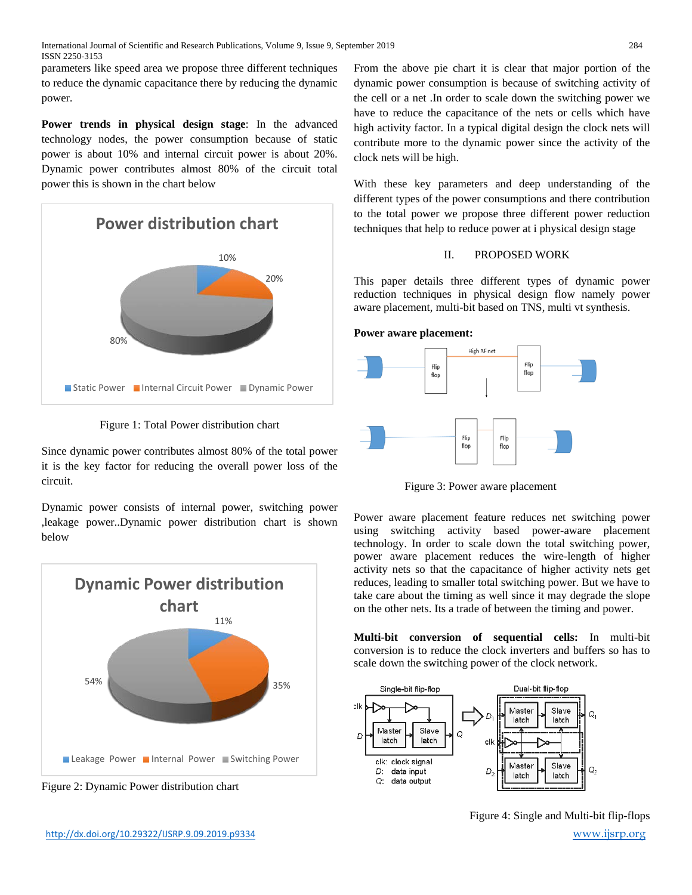parameters like speed area we propose three different techniques to reduce the dynamic capacitance there by reducing the dynamic power.

**Power trends in physical design stage**: In the advanced technology nodes, the power consumption because of static power is about 10% and internal circuit power is about 20%. Dynamic power contributes almost 80% of the circuit total power this is shown in the chart below



Figure 1: Total Power distribution chart

Since dynamic power contributes almost 80% of the total power it is the key factor for reducing the overall power loss of the circuit.

Dynamic power consists of internal power, switching power ,leakage power..Dynamic power distribution chart is shown below



Figure 2: Dynamic Power distribution chart

From the above pie chart it is clear that major portion of the dynamic power consumption is because of switching activity of the cell or a net .In order to scale down the switching power we have to reduce the capacitance of the nets or cells which have high activity factor. In a typical digital design the clock nets will contribute more to the dynamic power since the activity of the clock nets will be high.

With these key parameters and deep understanding of the different types of the power consumptions and there contribution to the total power we propose three different power reduction techniques that help to reduce power at i physical design stage

# II. PROPOSED WORK

This paper details three different types of dynamic power reduction techniques in physical design flow namely power aware placement, multi-bit based on TNS, multi vt synthesis.

#### **Power aware placement:**



Figure 3: Power aware placement

Power aware placement feature reduces net switching power using switching activity based power-aware placement technology. In order to scale down the total switching power, power aware placement reduces the wire-length of higher activity nets so that the capacitance of higher activity nets get reduces, leading to smaller total switching power. But we have to take care about the timing as well since it may degrade the slope on the other nets. Its a trade of between the timing and power.

**Multi-bit conversion of sequential cells:** In multi-bit conversion is to reduce the clock inverters and buffers so has to scale down the switching power of the clock network.



Figure 4: Single and Multi-bit flip-flops